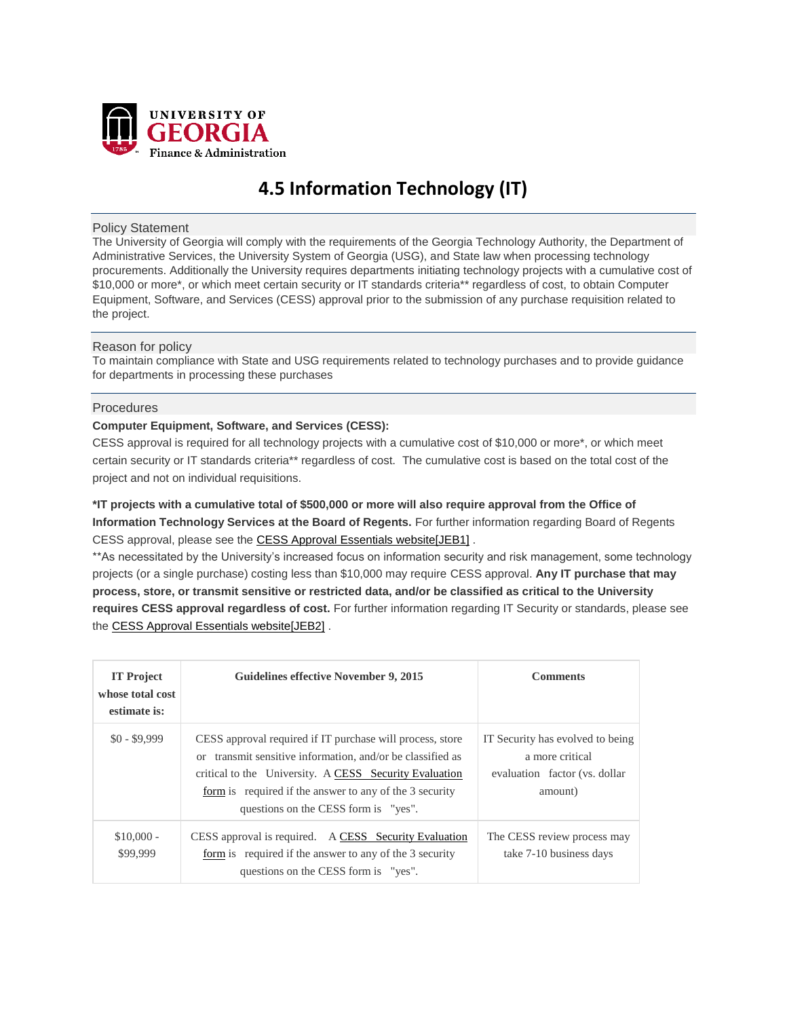

# **4.5 Information Technology (IT)**

## Policy Statement

The University of Georgia will comply with the requirements of the Georgia Technology Authority, the Department of Administrative Services, the University System of Georgia (USG), and State law when processing technology procurements. Additionally the University requires departments initiating technology projects with a cumulative cost of \$10,000 or more\*, or which meet certain security or IT standards criteria\*\* regardless of cost, to obtain Computer Equipment, Software, and Services (CESS) approval prior to the submission of any purchase requisition related to the project.

# Reason for policy

To maintain compliance with State and USG requirements related to technology purchases and to provide guidance for departments in processing these purchases

## **Procedures**

# **Computer Equipment, Software, and Services (CESS):**

CESS approval is required for all technology projects with a cumulative cost of \$10,000 or more\*, or which meet certain security or IT standards criteria\*\* regardless of cost. The cumulative cost is based on the total cost of the project and not on individual requisitions.

**\*IT projects with a cumulative total of \$500,000 or more will also require approval from the Office of Information Technology Services at the Board of Regents.** For further information regarding Board of Regents CESS approval, please see the CESS Approval [Essentials](https://eits.uga.edu/hardware_and_software/cess/) websit[e\[JEB1\]](https://eits.uga.edu/hardware_and_software/cess/) .

\*\*As necessitated by the University's increased focus on information security and risk management, some technology projects (or a single purchase) costing less than \$10,000 may require CESS approval. **Any IT purchase that may process, store, or transmit sensitive or restricted data, and/or be classified as critical to the University requires CESS approval regardless of cost.** For further information regarding IT Security or standards, please see the CESS Approval [Essentials](https://eits.uga.edu/hardware_and_software/cess/) websit[e\[JEB2\]](https://eits.uga.edu/hardware_and_software/cess/) .

| <b>IT Project</b><br>whose total cost<br>estimate is: | Guidelines effective November 9, 2015                                                                                                                                                                                                                                                         | <b>Comments</b>                                                                                 |
|-------------------------------------------------------|-----------------------------------------------------------------------------------------------------------------------------------------------------------------------------------------------------------------------------------------------------------------------------------------------|-------------------------------------------------------------------------------------------------|
| $$0 - $9,999$                                         | CESS approval required if IT purchase will process, store<br>transmit sensitive information, and/or be classified as<br>$\alpha$<br>critical to the University. A CESS Security Evaluation<br>form is required if the answer to any of the 3 security<br>questions on the CESS form is "yes". | IT Security has evolved to being<br>a more critical<br>evaluation factor (vs. dollar<br>amount) |
| $$10,000 -$<br>\$99,999                               | CESS approval is required. A CESS Security Evaluation<br>form is required if the answer to any of the 3 security<br>questions on the CESS form is "yes".                                                                                                                                      | The CESS review process may<br>take 7-10 business days                                          |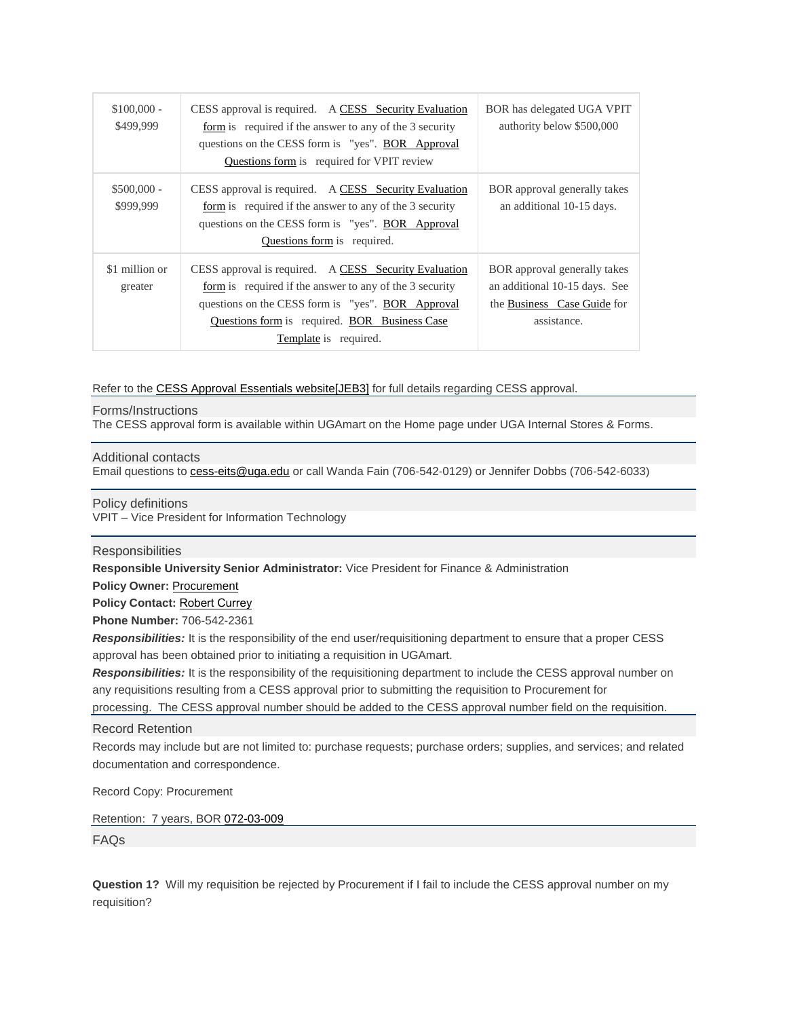| $$100,000 -$<br>\$499,999 | CESS approval is required. A CESS Security Evaluation<br>form is required if the answer to any of the 3 security<br>questions on the CESS form is "yes". BOR Approval<br>Questions form is required for VPIT review                             | BOR has delegated UGA VPIT<br>authority below \$500,000                                                     |
|---------------------------|-------------------------------------------------------------------------------------------------------------------------------------------------------------------------------------------------------------------------------------------------|-------------------------------------------------------------------------------------------------------------|
| $$500,000 -$<br>\$999,999 | CESS approval is required. A CESS Security Evaluation<br>form is required if the answer to any of the 3 security<br>questions on the CESS form is "yes". BOR Approval<br>Questions form is required.                                            | BOR approval generally takes<br>an additional 10-15 days.                                                   |
| \$1 million or<br>greater | CESS approval is required. A CESS Security Evaluation<br>form is required if the answer to any of the 3 security<br>questions on the CESS form is "yes". BOR Approval<br>Questions form is required. BOR Business Case<br>Template is required. | BOR approval generally takes<br>an additional 10-15 days. See<br>the Business Case Guide for<br>assistance. |

Refer to the CESS Approval [Essentials](https://eits.uga.edu/hardware_and_software/cess/) websit[e\[JEB3\]](https://eits.uga.edu/hardware_and_software/cess/) for full details regarding CESS approval.

## Forms/Instructions

The CESS approval form is available within UGAmart on the Home page under UGA Internal Stores & Forms.

#### Additional contacts

Email questions to [cess-eits@uga.edu](mailto:cess-eits@uga.edu) or call Wanda Fain (706-542-0129) or Jennifer Dobbs (706-542-6033)

Policy definitions

VPIT – Vice President for Information Technology

# **Responsibilities**

**Responsible University Senior Administrator:** Vice President for Finance & Administration

**Policy Owner: [Procurement](http://www.busfin.uga.edu/procurement)** 

**Policy Contact:** [Robert Currey](mailto:Bob.Currey@uga.edu)

**Phone Number:** 706-542-2361

*Responsibilities:* It is the responsibility of the end user/requisitioning department to ensure that a proper CESS approval has been obtained prior to initiating a requisition in UGAmart.

*Responsibilities:* It is the responsibility of the requisitioning department to include the CESS approval number on any requisitions resulting from a CESS approval prior to submitting the requisition to Procurement for

processing. The CESS approval number should be added to the CESS approval number field on the requisition.

## Record Retention

Records may include but are not limited to: purchase requests; purchase orders; supplies, and services; and related documentation and correspondence.

Record Copy: Procurement

Retention: 7 years, BOR [072-03-009](http://www.usg.edu/records_management/schedules/usg_search/e6bea2d47d4fb48a11caa0a344939a70/)

FAQs

**Question 1?** Will my requisition be rejected by Procurement if I fail to include the CESS approval number on my requisition?